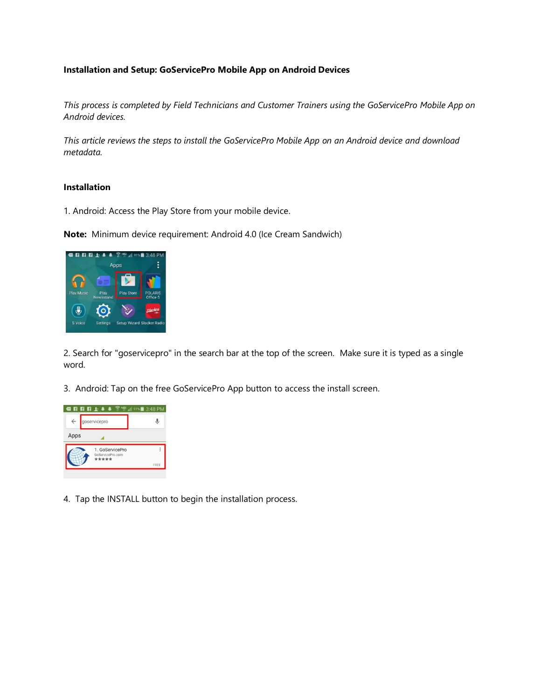# **Installation and Setup: GoServicePro Mobile App on Android Devices**

*This process is completed by Field Technicians and Customer Trainers using the GoServicePro Mobile App on Android devices.* 

*This article reviews the steps to install the GoServicePro Mobile App on an Android device and download metadata.*

### **Installation**

1. Android: Access the Play Store from your mobile device.

**Note:** Minimum device requirement: Android 4.0 (Ice Cream Sandwich)



2. Search for "goservicepro" in the search bar at the top of the screen. Make sure it is typed as a single word.

3. Android: Tap on the free GoServicePro App button to access the install screen.



4. Tap the INSTALL button to begin the installation process.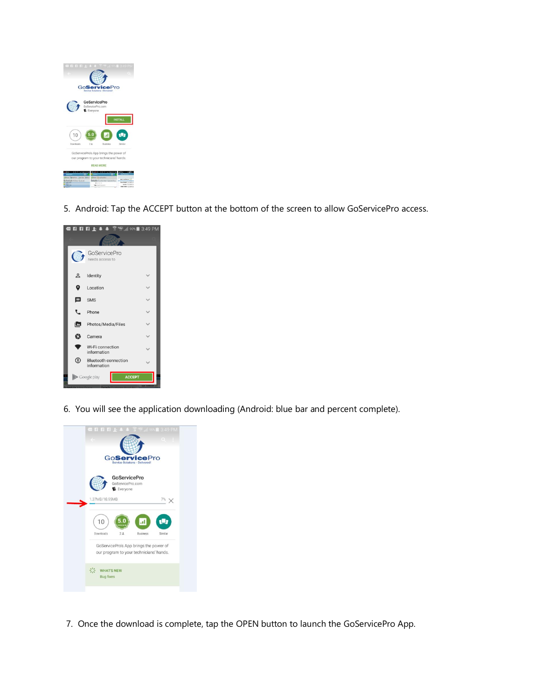

5. Android: Tap the ACCEPT button at the bottom of the screen to allow GoServicePro access.



6. You will see the application downloading (Android: blue bar and percent complete).



7. Once the download is complete, tap the OPEN button to launch the GoServicePro App.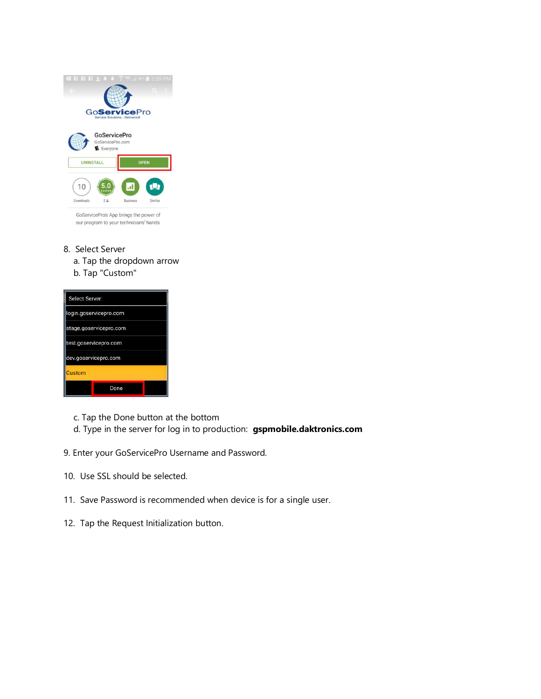| $-1$ $F$ $F$ $F$ $F$                                  | 3:59 PM<br>398                                        |
|-------------------------------------------------------|-------------------------------------------------------|
|                                                       |                                                       |
|                                                       | <b>GoServicePro</b><br>Service Solutions - Delivered! |
| <b>GoServicePro</b><br>GoServicePro.com<br>E Everyone |                                                       |
| <b>UNINSTALL</b>                                      | <b>OPEN</b>                                           |
| 10                                                    | U<br>h.                                               |
| Downloads<br>2.8                                      |                                                       |
|                                                       | Similar<br><b>Business</b>                            |

GoServicePro's App brings the power of our program to your technicians' hands.

- 8. Select Server
	- a. Tap the dropdown arrow
	- b. Tap "Custom"

| Select Server:         |      |  |  |
|------------------------|------|--|--|
| login.goservicepro.com |      |  |  |
| stage.goservicepro.com |      |  |  |
| test.goservicepro.com  |      |  |  |
| dev.goservicepro.com   |      |  |  |
| Custom                 |      |  |  |
|                        | Done |  |  |

- c. Tap the Done button at the bottom
- d. Type in the server for log in to production: **gspmobile.daktronics.com**
- 9. Enter your GoServicePro Username and Password.
- 10. Use SSL should be selected.
- 11. Save Password is recommended when device is for a single user.
- 12. Tap the Request Initialization button.